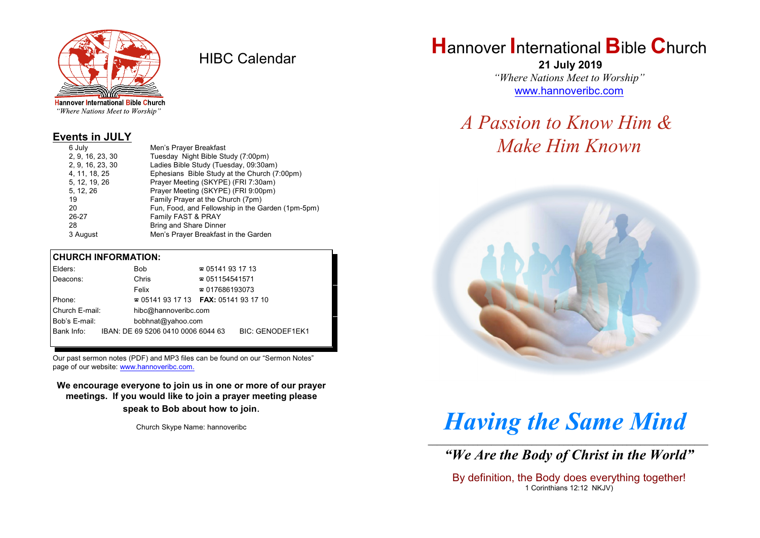

HIBC Calendar

"Where Nations Meet to Worship"

#### **Events in JULY**

| 6 July           | Men's Prayer Breakfast                            |
|------------------|---------------------------------------------------|
| 2, 9, 16, 23, 30 | Tuesday Night Bible Study (7:00pm)                |
| 2, 9, 16, 23, 30 | Ladies Bible Study (Tuesday, 09:30am)             |
| 4, 11, 18, 25    | Ephesians Bible Study at the Church (7:00pm)      |
| 5, 12, 19, 26    | Prayer Meeting (SKYPE) (FRI 7:30am)               |
| 5, 12, 26        | Prayer Meeting (SKYPE) (FRI 9:00pm)               |
| 19               | Family Prayer at the Church (7pm)                 |
| 20               | Fun, Food, and Fellowship in the Garden (1pm-5pm) |
| 26-27            | Family FAST & PRAY                                |
| 28               | <b>Bring and Share Dinner</b>                     |
| 3 August         | Men's Prayer Breakfast in the Garden              |

#### **CHURCH INFORMATION:**

|                                    | Elders:    |  | <b>Bob</b>                         | $\approx 05141931713$                    |                         |  |
|------------------------------------|------------|--|------------------------------------|------------------------------------------|-------------------------|--|
|                                    | Deacons:   |  | Chris                              | $\approx 051154541571$                   |                         |  |
|                                    |            |  | Felix                              | $\approx 017686193073$                   |                         |  |
| Phone:                             |            |  |                                    | $\approx 05141931713$ FAX: 0514193 17 10 |                         |  |
| Church E-mail:                     |            |  | hibc@hannoveribc.com               |                                          |                         |  |
| Bob's E-mail:<br>bobhnat@yahoo.com |            |  |                                    |                                          |                         |  |
|                                    | Bank Info: |  | IBAN: DE 69 5206 0410 0006 6044 63 |                                          | <b>BIC: GENODEF1EK1</b> |  |
|                                    |            |  |                                    |                                          |                         |  |

Our past sermon notes (PDF) and MP3 files can be found on our "Sermon Notes" page of our website: [www.hannoveribc.com.](http://www.hannoveribc.com.)

**We encourage everyone to join us in one or more of our prayer meetings. If you would like to join a prayer meeting please speak to Bob about how to join**.

Church Skype Name: hannoveribc

## **H**annover **I**nternational **B**ible **C**hurch

 **21 July 2019** *"Where Nations Meet to Worship"* [www.hannoveribc.com](http://www.hannoveribc.com)

## *A Passion to Know Him & Make Him Known*



# *Having the Same Mind*

\_\_\_\_\_\_\_\_\_\_\_\_\_\_\_\_\_\_\_\_\_\_\_\_\_\_\_\_\_\_\_\_\_\_\_\_\_\_\_\_\_\_\_\_\_\_\_\_\_\_\_\_\_\_\_\_\_\_\_\_\_\_ *"We Are the Body of Christ in the World"*

By definition, the Body does everything together! 1 Corinthians 12:12 NKJV)